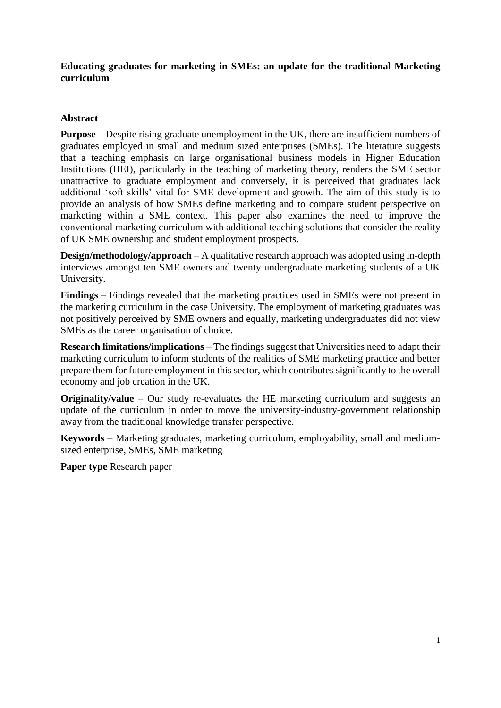## **Educating graduates for marketing in SMEs: an update for the traditional Marketing curriculum**

## **Abstract**

**Purpose** – Despite rising graduate unemployment in the UK, there are insufficient numbers of graduates employed in small and medium sized enterprises (SMEs). The literature suggests that a teaching emphasis on large organisational business models in Higher Education Institutions (HEI), particularly in the teaching of marketing theory, renders the SME sector unattractive to graduate employment and conversely, it is perceived that graduates lack additional 'soft skills' vital for SME development and growth. The aim of this study is to provide an analysis of how SMEs define marketing and to compare student perspective on marketing within a SME context. This paper also examines the need to improve the conventional marketing curriculum with additional teaching solutions that consider the reality of UK SME ownership and student employment prospects.

**Design/methodology/approach** – A qualitative research approach was adopted using in-depth interviews amongst ten SME owners and twenty undergraduate marketing students of a UK University.

**Findings** – Findings revealed that the marketing practices used in SMEs were not present in the marketing curriculum in the case University. The employment of marketing graduates was not positively perceived by SME owners and equally, marketing undergraduates did not view SMEs as the career organisation of choice.

**Research limitations/implications** – The findings suggest that Universities need to adapt their marketing curriculum to inform students of the realities of SME marketing practice and better prepare them for future employment in this sector, which contributes significantly to the overall economy and job creation in the UK.

**Originality/value** – Our study re-evaluates the HE marketing curriculum and suggests an update of the curriculum in order to move the university-industry-government relationship away from the traditional knowledge transfer perspective.

**Keywords** – Marketing graduates, marketing curriculum, employability, small and mediumsized enterprise, SMEs, SME marketing

**Paper type** Research paper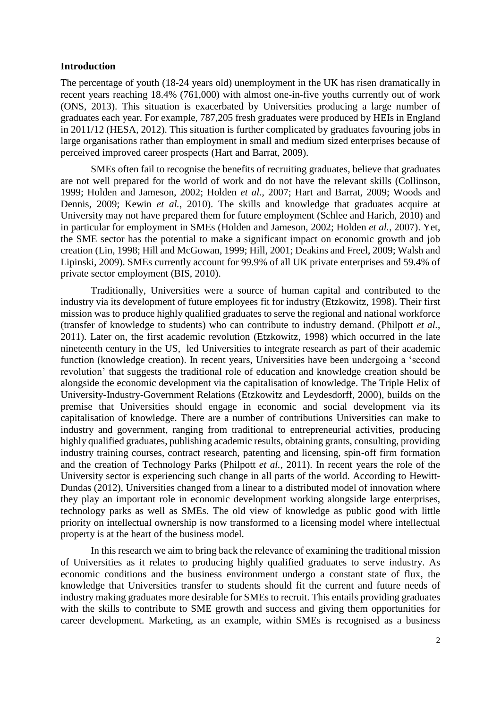#### **Introduction**

The percentage of youth (18-24 years old) unemployment in the UK has risen dramatically in recent years reaching 18.4% (761,000) with almost one-in-five youths currently out of work [\(ONS, 2013\)](#page-16-0). This situation is exacerbated by Universities producing a large number of graduates each year. For example, 787,205 fresh graduates were produced by HEIs in England in 2011/12 [\(HESA, 2012\)](#page-14-0). This situation is further complicated by graduates favouring jobs in large organisations rather than employment in small and medium sized enterprises because of perceived improved career prospects [\(Hart and Barrat, 2009\)](#page-14-1).

SMEs often fail to recognise the benefits of recruiting graduates, believe that graduates are not well prepared for the world of work and do not have the relevant skills [\(Collinson,](#page-13-0)  [1999;](#page-13-0) [Holden and Jameson, 2002;](#page-15-0) [Holden](#page-15-1) *et al.*, 2007; [Hart and Barrat, 2009;](#page-14-1) [Woods and](#page-17-0)  [Dennis, 2009;](#page-17-0) Kewin *et al.*[, 2010\)](#page-15-2). The skills and knowledge that graduates acquire at University may not have prepared them for future employment [\(Schlee and Harich, 2010\)](#page-16-1) and in particular for employment in SMEs [\(Holden and Jameson, 2002;](#page-15-0) [Holden](#page-15-1) *et al.*, 2007). Yet, the SME sector has the potential to make a significant impact on economic growth and job creation [\(Lin, 1998;](#page-15-3) [Hill and McGowan, 1999;](#page-14-2) [Hill, 2001;](#page-14-3) [Deakins and Freel, 2009;](#page-13-1) [Walsh and](#page-17-1)  [Lipinski, 2009\)](#page-17-1). SMEs currently account for 99.9% of all UK private enterprises and 59.4% of private sector employment [\(BIS, 2010\)](#page-13-2).

Traditionally, Universities were a source of human capital and contributed to the industry via its development of future employees fit for industry [\(Etzkowitz, 1998\)](#page-14-4). Their first mission was to produce highly qualified graduates to serve the regional and national workforce (transfer of knowledge to students) who can contribute to industry demand. [\(Philpott](#page-16-2) *et al.*, [2011\)](#page-16-2). Later on, the first academic revolution [\(Etzkowitz, 1998\)](#page-14-4) which occurred in the late nineteenth century in the US, led Universities to integrate research as part of their academic function (knowledge creation). In recent years, Universities have been undergoing a 'second revolution' that suggests the traditional role of education and knowledge creation should be alongside the economic development via the capitalisation of knowledge. The Triple Helix of University-Industry-Government Relations [\(Etzkowitz and Leydesdorff, 2000\)](#page-14-5), builds on the premise that Universities should engage in economic and social development via its capitalisation of knowledge. There are a number of contributions Universities can make to industry and government, ranging from traditional to entrepreneurial activities, producing highly qualified graduates, publishing academic results, obtaining grants, consulting, providing industry training courses, contract research, patenting and licensing, spin-off firm formation and the creation of Technology Parks [\(Philpott](#page-16-2) *et al.*, 2011). In recent years the role of the University sector is experiencing such change in all parts of the world. According to [Hewitt-](#page-14-6)[Dundas \(2012\)](#page-14-6), Universities changed from a linear to a distributed model of innovation where they play an important role in economic development working alongside large enterprises, technology parks as well as SMEs. The old view of knowledge as public good with little priority on intellectual ownership is now transformed to a licensing model where intellectual property is at the heart of the business model.

In this research we aim to bring back the relevance of examining the traditional mission of Universities as it relates to producing highly qualified graduates to serve industry. As economic conditions and the business environment undergo a constant state of flux, the knowledge that Universities transfer to students should fit the current and future needs of industry making graduates more desirable for SMEs to recruit. This entails providing graduates with the skills to contribute to SME growth and success and giving them opportunities for career development. Marketing, as an example, within SMEs is recognised as a business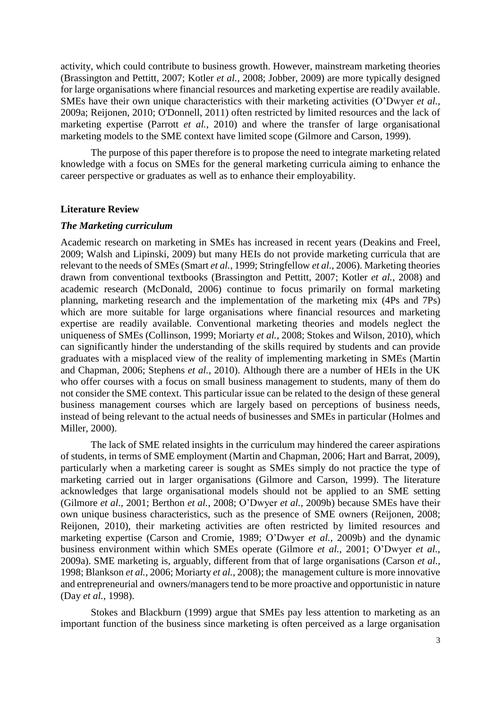activity, which could contribute to business growth. However, mainstream marketing theories [\(Brassington and Pettitt, 2007;](#page-13-3) [Kotler](#page-15-4) *et al.*, 2008; [Jobber, 2009\)](#page-15-5) are more typically designed for large organisations where financial resources and marketing expertise are readily available. SMEs have their own unique characteristics with their marketing activities [\(O'Dwyer](#page-16-3) *et al.*, [2009a;](#page-16-3) [Reijonen, 2010;](#page-16-4) [O'Donnell, 2011\)](#page-16-5) often restricted by limited resources and the lack of marketing expertise (Parrott *et al.*[, 2010\)](#page-16-6) and where the transfer of large organisational marketing models to the SME context have limited scope [\(Gilmore and Carson, 1999\)](#page-14-7).

The purpose of this paper therefore is to propose the need to integrate marketing related knowledge with a focus on SMEs for the general marketing curricula aiming to enhance the career perspective or graduates as well as to enhance their employability.

#### **Literature Review**

#### *The Marketing curriculum*

Academic research on marketing in SMEs has increased in recent years [\(Deakins and Freel,](#page-13-1)  [2009;](#page-13-1) [Walsh and Lipinski, 2009\)](#page-17-1) but many HEIs do not provide marketing curricula that are relevant to the needs of SMEs (Smart *et al.*[, 1999;](#page-16-7) [Stringfellow](#page-17-2) *et al.*, 2006). Marketing theories drawn from conventional textbooks [\(Brassington and Pettitt, 2007;](#page-13-3) [Kotler](#page-15-4) *et al.*, 2008) and academic research [\(McDonald, 2006\)](#page-15-6) continue to focus primarily on formal marketing planning, marketing research and the implementation of the marketing mix (4Ps and 7Ps) which are more suitable for large organisations where financial resources and marketing expertise are readily available. Conventional marketing theories and models neglect the uniqueness of SMEs [\(Collinson, 1999;](#page-13-0) [Moriarty](#page-15-7) *et al.*, 2008; [Stokes and Wilson, 2010\)](#page-17-3), which can significantly hinder the understanding of the skills required by students and can provide graduates with a misplaced view of the reality of implementing marketing in SMEs [\(Martin](#page-15-8)  [and Chapman, 2006;](#page-15-8) [Stephens](#page-16-8) *et al.*, 2010). Although there are a number of HEIs in the UK who offer courses with a focus on small business management to students, many of them do not consider the SME context. This particular issue can be related to the design of these general business management courses which are largely based on perceptions of business needs, instead of being relevant to the actual needs of businesses and SMEs in particular [\(Holmes and](#page-15-9)  [Miller, 2000\)](#page-15-9).

The lack of SME related insights in the curriculum may hindered the career aspirations of students, in terms of SME employment [\(Martin and Chapman, 2006;](#page-15-8) [Hart and Barrat, 2009\)](#page-14-1), particularly when a marketing career is sought as SMEs simply do not practice the type of marketing carried out in larger organisations [\(Gilmore and Carson, 1999\)](#page-14-7). The literature acknowledges that large organisational models should not be applied to an SME setting [\(Gilmore](#page-14-8) *et al.*, 2001; [Berthon](#page-13-4) *et al.*, 2008; [O'Dwyer](#page-16-9) *et al.*, 2009b) because SMEs have their own unique business characteristics, such as the presence of SME owners [\(Reijonen, 2008;](#page-16-10) [Reijonen, 2010\)](#page-16-4), their marketing activities are often restricted by limited resources and marketing expertise [\(Carson and Cromie, 1989;](#page-13-5) [O'Dwyer](#page-16-9) *et al.*, 2009b) and the dynamic business environment within which SMEs operate [\(Gilmore](#page-14-8) *et al.*, 2001; [O'Dwyer](#page-16-3) *et al.*, [2009a\)](#page-16-3). SME marketing is, arguably, different from that of large organisations [\(Carson](#page-13-6) *et al.*, [1998;](#page-13-6) [Blankson](#page-13-7) *et al.*, 2006; [Moriarty](#page-15-7) *et al.*, 2008); the management culture is more innovative and entrepreneurial and owners/managers tend to be more proactive and opportunistic in nature (Day *et al.*[, 1998\)](#page-13-8).

Stokes and Blackburn [\(1999\)](#page-17-4) argue that SMEs pay less attention to marketing as an important function of the business since marketing is often perceived as a large organisation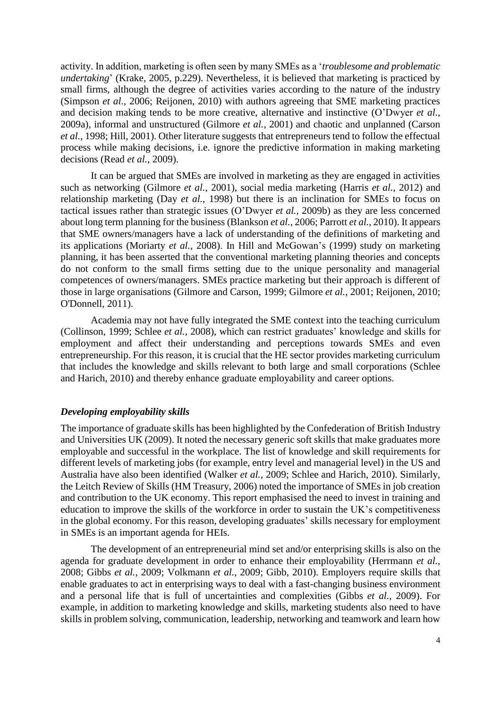activity. In addition, marketing is often seen by many SMEs as a '*troublesome and problematic undertaking*' [\(Krake, 2005, p.229\)](#page-15-10). Nevertheless, it is believed that marketing is practiced by small firms, although the degree of activities varies according to the nature of the industry [\(Simpson](#page-16-11) *et al.*, 2006; [Reijonen, 2010\)](#page-16-4) with authors agreeing that SME marketing practices and decision making tends to be more creative, alternative and instinctive [\(O'Dwyer](#page-16-3) *et al.*, [2009a\)](#page-16-3), informal and unstructured [\(Gilmore](#page-14-8) *et al.*, 2001) and chaotic and unplanned [\(Carson](#page-13-6) *et al.*[, 1998;](#page-13-6) [Hill, 2001\)](#page-14-3). Other literature suggests that entrepreneurs tend to follow the effectual process while making decisions, i.e. ignore the predictive information in making marketing decisions (Read *et al.*[, 2009\)](#page-16-12).

It can be argued that SMEs are involved in marketing as they are engaged in activities such as networking [\(Gilmore](#page-14-8) *et al.*, 2001), social media marketing (Harris *et al.*[, 2012\)](#page-14-9) and relationship marketing (Day *et al.*[, 1998\)](#page-13-8) but there is an inclination for SMEs to focus on tactical issues rather than strategic issues [\(O'Dwyer](#page-16-9) *et al.*, 2009b) as they are less concerned about long term planning for the business [\(Blankson](#page-13-7) *et al.*, 2006; [Parrott](#page-16-6) *et al.*, 2010). It appears that SME owners/managers have a lack of understanding of the definitions of marketing and its applications [\(Moriarty](#page-15-7) *et al.*, 2008). In Hill and McGowan's [\(1999\)](#page-14-2) study on marketing planning, it has been asserted that the conventional marketing planning theories and concepts do not conform to the small firms setting due to the unique personality and managerial competences of owners/managers. SMEs practice marketing but their approach is different of those in large organisations [\(Gilmore and Carson, 1999;](#page-14-7) [Gilmore](#page-14-8) *et al.*, 2001; [Reijonen, 2010;](#page-16-4) [O'Donnell, 2011\)](#page-16-5).

Academia may not have fully integrated the SME context into the teaching curriculum [\(Collinson, 1999;](#page-13-0) [Schlee](#page-16-13) *et al.*, 2008), which can restrict graduates' knowledge and skills for employment and affect their understanding and perceptions towards SMEs and even entrepreneurship. For this reason, it is crucial that the HE sector provides marketing curriculum that includes the knowledge and skills relevant to both large and small corporations [\(Schlee](#page-16-1)  [and Harich, 2010\)](#page-16-1) and thereby enhance graduate employability and career options.

## *Developing employability skills*

The importance of graduate skills has been highlighted by the Confederation of British Industry and Universities UK [\(2009\)](#page-13-9). It noted the necessary generic soft skills that make graduates more employable and successful in the workplace. The list of knowledge and skill requirements for different levels of marketing jobs (for example, entry level and managerial level) in the US and Australia have also been identified [\(Walker](#page-17-5) *et al.*, 2009; [Schlee and Harich, 2010\)](#page-16-1). Similarly, the Leitch Review of Skills [\(HM Treasury, 2006\)](#page-14-10) noted the importance of SMEs in job creation and contribution to the UK economy. This report emphasised the need to invest in training and education to improve the skills of the workforce in order to sustain the UK's competitiveness in the global economy. For this reason, developing graduates' skills necessary for employment in SMEs is an important agenda for HEIs.

The development of an entrepreneurial mind set and/or enterprising skills is also on the agenda for graduate development in order to enhance their employability [\(Herrmann](#page-14-11) *et al.*, [2008;](#page-14-11) Gibbs *et al.*[, 2009;](#page-14-12) [Volkmann](#page-17-6) *et al.*, 2009; [Gibb, 2010\)](#page-14-13). Employers require skills that enable graduates to act in enterprising ways to deal with a fast-changing business environment and a personal life that is full of uncertainties and complexities (Gibbs *et al.*[, 2009\)](#page-14-12). For example, in addition to marketing knowledge and skills, marketing students also need to have skills in problem solving, communication, leadership, networking and teamwork and learn how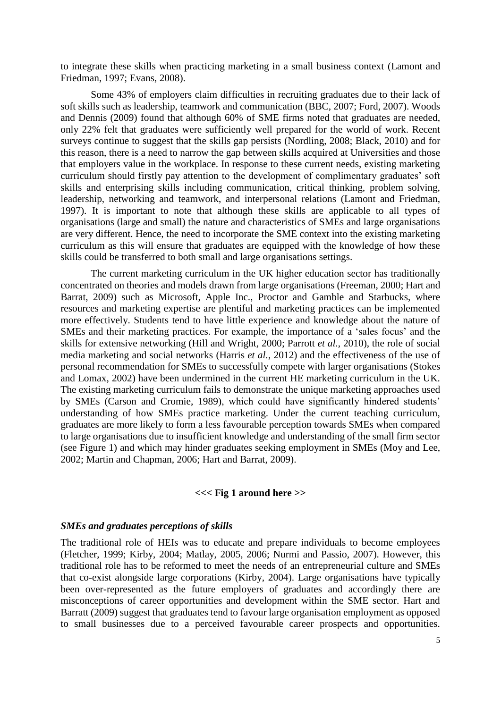to integrate these skills when practicing marketing in a small business context [\(Lamont and](#page-15-11)  [Friedman, 1997;](#page-15-11) [Evans, 2008\)](#page-14-14).

Some 43% of employers claim difficulties in recruiting graduates due to their lack of soft skills such as leadership, teamwork and communication [\(BBC, 2007;](#page-13-10) [Ford, 2007\)](#page-14-15). Woods and Dennis [\(2009\)](#page-17-0) found that although 60% of SME firms noted that graduates are needed, only 22% felt that graduates were sufficiently well prepared for the world of work. Recent surveys continue to suggest that the skills gap persists [\(Nordling, 2008;](#page-15-12) [Black, 2010\)](#page-13-11) and for this reason, there is a need to narrow the gap between skills acquired at Universities and those that employers value in the workplace. In response to these current needs, existing marketing curriculum should firstly pay attention to the development of complimentary graduates' soft skills and enterprising skills including communication, critical thinking, problem solving, leadership, networking and teamwork, and interpersonal relations [\(Lamont and Friedman,](#page-15-11)  [1997\)](#page-15-11). It is important to note that although these skills are applicable to all types of organisations (large and small) the nature and characteristics of SMEs and large organisations are very different. Hence, the need to incorporate the SME context into the existing marketing curriculum as this will ensure that graduates are equipped with the knowledge of how these skills could be transferred to both small and large organisations settings.

The current marketing curriculum in the UK higher education sector has traditionally concentrated on theories and models drawn from large organisations [\(Freeman, 2000;](#page-14-16) [Hart and](#page-14-1)  [Barrat, 2009\)](#page-14-1) such as Microsoft, Apple Inc., Proctor and Gamble and Starbucks, where resources and marketing expertise are plentiful and marketing practices can be implemented more effectively. Students tend to have little experience and knowledge about the nature of SMEs and their marketing practices. For example, the importance of a 'sales focus' and the skills for extensive networking [\(Hill and Wright, 2000;](#page-14-17) [Parrott](#page-16-6) *et al.*, 2010), the role of social media marketing and social networks (Harris *et al.*[, 2012\)](#page-14-9) and the effectiveness of the use of personal recommendation for SMEs to successfully compete with larger organisations [\(Stokes](#page-17-7)  [and Lomax, 2002\)](#page-17-7) have been undermined in the current HE marketing curriculum in the UK. The existing marketing curriculum fails to demonstrate the unique marketing approaches used by SMEs [\(Carson and Cromie, 1989\)](#page-13-5), which could have significantly hindered students' understanding of how SMEs practice marketing. Under the current teaching curriculum, graduates are more likely to form a less favourable perception towards SMEs when compared to large organisations due to insufficient knowledge and understanding of the small firm sector (see Figure 1) and which may hinder graduates seeking employment in SMEs [\(Moy and Lee,](#page-15-13)  [2002;](#page-15-13) [Martin and Chapman, 2006;](#page-15-8) [Hart and Barrat, 2009\)](#page-14-1).

#### **<<< Fig 1 around here >>**

#### *SMEs and graduates perceptions of skills*

The traditional role of HEIs was to educate and prepare individuals to become employees [\(Fletcher, 1999;](#page-14-18) [Kirby, 2004;](#page-15-14) [Matlay, 2005,](#page-15-15) [2006;](#page-15-16) [Nurmi and Passio, 2007\)](#page-16-14). However, this traditional role has to be reformed to meet the needs of an entrepreneurial culture and SMEs that co-exist alongside large corporations [\(Kirby, 2004\)](#page-15-14). Large organisations have typically been over-represented as the future employers of graduates and accordingly there are misconceptions of career opportunities and development within the SME sector. Hart and Barratt [\(2009\)](#page-14-1) suggest that graduates tend to favour large organisation employment as opposed to small businesses due to a perceived favourable career prospects and opportunities.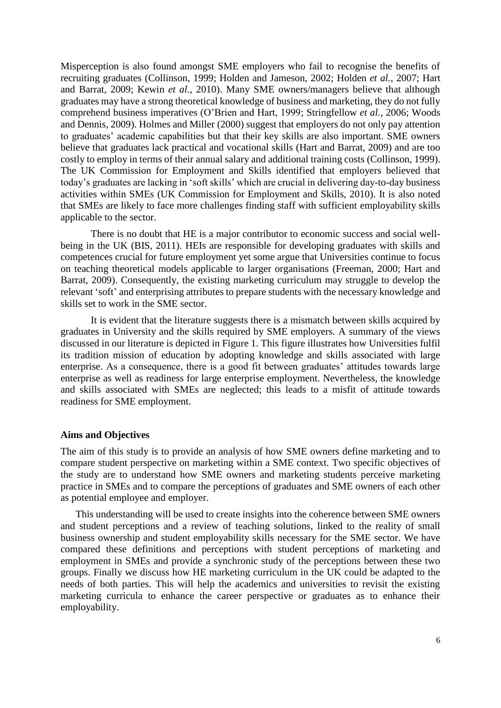Misperception is also found amongst SME employers who fail to recognise the benefits of recruiting graduates [\(Collinson, 1999;](#page-13-0) Holden [and Jameson, 2002;](#page-15-0) [Holden](#page-15-1) *et al.*, 2007; [Hart](#page-14-1)  [and Barrat, 2009;](#page-14-1) [Kewin](#page-15-2) *et al.*, 2010). Many SME owners/managers believe that although graduates may have a strong theoretical knowledge of business and marketing, they do not fully comprehend business imperatives [\(O'Brien and Hart, 1999;](#page-16-15) [Stringfellow](#page-17-2) *et al.*, 2006; [Woods](#page-17-0)  [and Dennis, 2009\)](#page-17-0). Holmes and Miller [\(2000\)](#page-15-9) suggest that employers do not only pay attention to graduates' academic capabilities but that their key skills are also important. SME owners believe that graduates lack practical and vocational skills [\(Hart and Barrat, 2009\)](#page-14-1) and are too costly to employ in terms of their annual salary and additional training costs [\(Collinson, 1999\)](#page-13-0). The UK Commission for Employment and Skills identified that employers believed that today's graduates are lacking in 'soft skills' which are crucial in delivering day-to-day business activities within SMEs [\(UK Commission for Employment and Skills, 2010\)](#page-17-8). It is also noted that SMEs are likely to face more challenges finding staff with sufficient employability skills applicable to the sector.

There is no doubt that HE is a major contributor to economic success and social wellbeing in the UK [\(BIS, 2011\)](#page-13-12). HEIs are responsible for developing graduates with skills and competences crucial for future employment yet some argue that Universities continue to focus on teaching theoretical models applicable to larger organisations [\(Freeman, 2000;](#page-14-16) [Hart and](#page-14-1)  [Barrat, 2009\)](#page-14-1). Consequently, the existing marketing curriculum may struggle to develop the relevant 'soft' and enterprising attributes to prepare students with the necessary knowledge and skills set to work in the SME sector.

It is evident that the literature suggests there is a mismatch between skills acquired by graduates in University and the skills required by SME employers. A summary of the views discussed in our literature is depicted in Figure 1. This figure illustrates how Universities fulfil its tradition mission of education by adopting knowledge and skills associated with large enterprise. As a consequence, there is a good fit between graduates' attitudes towards large enterprise as well as readiness for large enterprise employment. Nevertheless, the knowledge and skills associated with SMEs are neglected; this leads to a misfit of attitude towards readiness for SME employment.

#### **Aims and Objectives**

The aim of this study is to provide an analysis of how SME owners define marketing and to compare student perspective on marketing within a SME context. Two specific objectives of the study are to understand how SME owners and marketing students perceive marketing practice in SMEs and to compare the perceptions of graduates and SME owners of each other as potential employee and employer.

This understanding will be used to create insights into the coherence between SME owners and student perceptions and a review of teaching solutions, linked to the reality of small business ownership and student employability skills necessary for the SME sector. We have compared these definitions and perceptions with student perceptions of marketing and employment in SMEs and provide a synchronic study of the perceptions between these two groups. Finally we discuss how HE marketing curriculum in the UK could be adapted to the needs of both parties. This will help the academics and universities to revisit the existing marketing curricula to enhance the career perspective or graduates as to enhance their employability.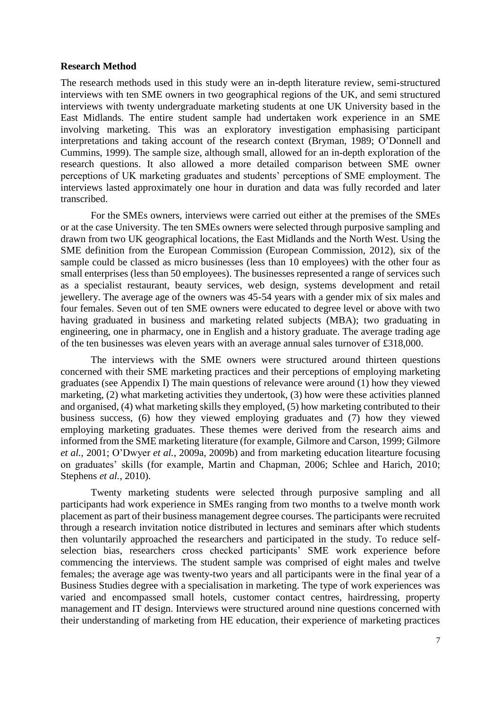#### **Research Method**

The research methods used in this study were an in-depth literature review, semi-structured interviews with ten SME owners in two geographical regions of the UK, and semi structured interviews with twenty undergraduate marketing students at one UK University based in the East Midlands. The entire student sample had undertaken work experience in an SME involving marketing. This was an exploratory investigation emphasising participant interpretations and taking account of the research context [\(Bryman, 1989;](#page-13-13) [O'Donnell and](#page-16-16)  [Cummins, 1999\)](#page-16-16). The sample size, although small, allowed for an in-depth exploration of the research questions. It also allowed a more detailed comparison between SME owner perceptions of UK marketing graduates and students' perceptions of SME employment. The interviews lasted approximately one hour in duration and data was fully recorded and later transcribed.

For the SMEs owners, interviews were carried out either at the premises of the SMEs or at the case University. The ten SMEs owners were selected through purposive sampling and drawn from two UK geographical locations, the East Midlands and the North West. Using the SME definition from the European Commission (European Commission, 2012), six of the sample could be classed as micro businesses (less than 10 employees) with the other four as small enterprises (less than 50 employees). The businesses represented a range of services such as a specialist restaurant, beauty services, web design, systems development and retail jewellery. The average age of the owners was 45-54 years with a gender mix of six males and four females. Seven out of ten SME owners were educated to degree level or above with two having graduated in business and marketing related subjects (MBA); two graduating in engineering, one in pharmacy, one in English and a history graduate. The average trading age of the ten businesses was eleven years with an average annual sales turnover of £318,000.

The interviews with the SME owners were structured around thirteen questions concerned with their SME marketing practices and their perceptions of employing marketing graduates (see Appendix I) The main questions of relevance were around (1) how they viewed marketing, (2) what marketing activities they undertook, (3) how were these activities planned and organised, (4) what marketing skills they employed, (5) how marketing contributed to their business success, (6) how they viewed employing graduates and (7) how they viewed employing marketing graduates. These themes were derived from the research aims and informed from the SME marketing literature (for example, [Gilmore and Carson, 1999;](#page-14-7) [Gilmore](#page-14-8) *et al.*[, 2001;](#page-14-8) [O'Dwyer](#page-16-3) *et al.*, 2009a, [2009b\)](#page-16-9) and from marketing education litearture focusing on graduates' skills (for example, [Martin and Chapman, 2006;](#page-15-8) [Schlee and Harich, 2010;](#page-16-1) [Stephens](#page-16-8) *et al.*, 2010).

Twenty marketing students were selected through purposive sampling and all participants had work experience in SMEs ranging from two months to a twelve month work placement as part of their business management degree courses. The participants were recruited through a research invitation notice distributed in lectures and seminars after which students then voluntarily approached the researchers and participated in the study. To reduce selfselection bias, researchers cross checked participants' SME work experience before commencing the interviews. The student sample was comprised of eight males and twelve females; the average age was twenty-two years and all participants were in the final year of a Business Studies degree with a specialisation in marketing. The type of work experiences was varied and encompassed small hotels, customer contact centres, hairdressing, property management and IT design. Interviews were structured around nine questions concerned with their understanding of marketing from HE education, their experience of marketing practices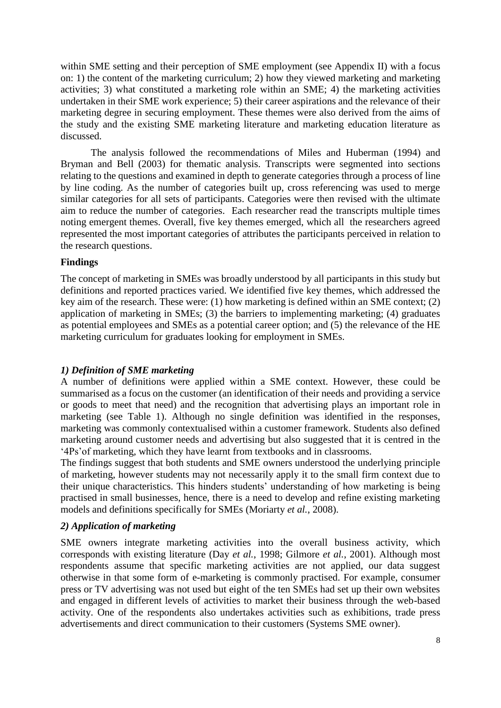within SME setting and their perception of SME employment (see Appendix II) with a focus on: 1) the content of the marketing curriculum; 2) how they viewed marketing and marketing activities; 3) what constituted a marketing role within an SME; 4) the marketing activities undertaken in their SME work experience; 5) their career aspirations and the relevance of their marketing degree in securing employment. These themes were also derived from the aims of the study and the existing SME marketing literature and marketing education literature as discussed.

The analysis followed the recommendations of Miles and Huberman [\(1994\)](#page-15-17) and Bryman and Bell [\(2003\)](#page-13-14) for thematic analysis. Transcripts were segmented into sections relating to the questions and examined in depth to generate categories through a process of line by line coding. As the number of categories built up, cross referencing was used to merge similar categories for all sets of participants. Categories were then revised with the ultimate aim to reduce the number of categories. Each researcher read the transcripts multiple times noting emergent themes. Overall, five key themes emerged, which all the researchers agreed represented the most important categories of attributes the participants perceived in relation to the research questions.

## **Findings**

The concept of marketing in SMEs was broadly understood by all participants in this study but definitions and reported practices varied. We identified five key themes, which addressed the key aim of the research. These were: (1) how marketing is defined within an SME context; (2) application of marketing in SMEs; (3) the barriers to implementing marketing; (4) graduates as potential employees and SMEs as a potential career option; and (5) the relevance of the HE marketing curriculum for graduates looking for employment in SMEs.

## *1) Definition of SME marketing*

A number of definitions were applied within a SME context. However, these could be summarised as a focus on the customer (an identification of their needs and providing a service or goods to meet that need) and the recognition that advertising plays an important role in marketing (see Table 1). Although no single definition was identified in the responses, marketing was commonly contextualised within a customer framework. Students also defined marketing around customer needs and advertising but also suggested that it is centred in the '4Ps'of marketing, which they have learnt from textbooks and in classrooms.

The findings suggest that both students and SME owners understood the underlying principle of marketing, however students may not necessarily apply it to the small firm context due to their unique characteristics. This hinders students' understanding of how marketing is being practised in small businesses, hence, there is a need to develop and refine existing marketing models and definitions specifically for SMEs [\(Moriarty](#page-15-7) *et al.*, 2008).

#### *2) Application of marketing*

SME owners integrate marketing activities into the overall business activity, which corresponds with existing literature (Day *et al.*[, 1998;](#page-13-8) [Gilmore](#page-14-8) *et al.*, 2001). Although most respondents assume that specific marketing activities are not applied, our data suggest otherwise in that some form of e-marketing is commonly practised. For example, consumer press or TV advertising was not used but eight of the ten SMEs had set up their own websites and engaged in different levels of activities to market their business through the web-based activity. One of the respondents also undertakes activities such as exhibitions, trade press advertisements and direct communication to their customers (Systems SME owner).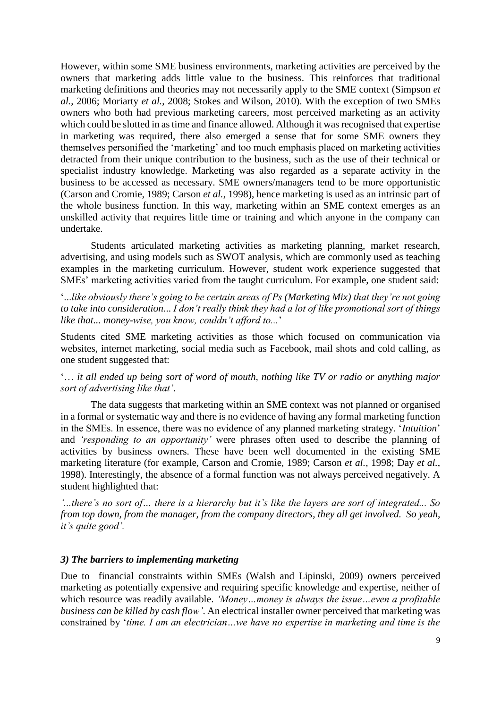However, within some SME business environments, marketing activities are perceived by the owners that marketing adds little value to the business. This reinforces that traditional marketing definitions and theories may not necessarily apply to the SME context [\(Simpson](#page-16-11) *et al.*[, 2006;](#page-16-11) [Moriarty](#page-15-7) *et al.*, 2008; [Stokes and Wilson, 2010\)](#page-17-3). With the exception of two SMEs owners who both had previous marketing careers, most perceived marketing as an activity which could be slotted in as time and finance allowed. Although it was recognised that expertise in marketing was required, there also emerged a sense that for some SME owners they themselves personified the 'marketing' and too much emphasis placed on marketing activities detracted from their unique contribution to the business, such as the use of their technical or specialist industry knowledge. Marketing was also regarded as a separate activity in the business to be accessed as necessary. SME owners/managers tend to be more opportunistic [\(Carson and Cromie, 1989;](#page-13-5) [Carson](#page-13-6) *et al.*, 1998), hence marketing is used as an intrinsic part of the whole business function. In this way, marketing within an SME context emerges as an unskilled activity that requires little time or training and which anyone in the company can undertake.

Students articulated marketing activities as marketing planning, market research, advertising, and using models such as SWOT analysis, which are commonly used as teaching examples in the marketing curriculum. However, student work experience suggested that SMEs' marketing activities varied from the taught curriculum. For example, one student said:

'...*like obviously there's going to be certain areas of Ps (Marketing Mix) that they're not going to take into consideration*... *I don't really think they had a lot of like promotional sort of things like that... money-wise, you know, couldn't afford to...*'

Students cited SME marketing activities as those which focused on communication via websites, internet marketing, social media such as Facebook, mail shots and cold calling, as one student suggested that:

'… *it all ended up being sort of word of mouth, nothing like TV or radio or anything major sort of advertising like that'*.

The data suggests that marketing within an SME context was not planned or organised in a formal or systematic way and there is no evidence of having any formal marketing function in the SMEs. In essence, there was no evidence of any planned marketing strategy. '*Intuition*' and *'responding to an opportunity'* were phrases often used to describe the planning of activities by business owners. These have been well documented in the existing SME marketing literature (for example, [Carson and Cromie, 1989;](#page-13-5) [Carson](#page-13-6) *et al.*, 1998; Day *[et al.](#page-13-8)*, [1998\)](#page-13-8). Interestingly, the absence of a formal function was not always perceived negatively. A student highlighted that:

*'...there's no sort of… there is a hierarchy but it's like the layers are sort of integrated... So from top down, from the manager, from the company directors, they all get involved. So yeah, it's quite good'.*

### *3) The barriers to implementing marketing*

Due to financial constraints within SMEs [\(Walsh and Lipinski, 2009\)](#page-17-1) owners perceived marketing as potentially expensive and requiring specific knowledge and expertise, neither of which resource was readily available. *'Money…money is always the issue…even a profitable business can be killed by cash flow'*. An electrical installer owner perceived that marketing was constrained by '*time. I am an electrician…we have no expertise in marketing and time is the*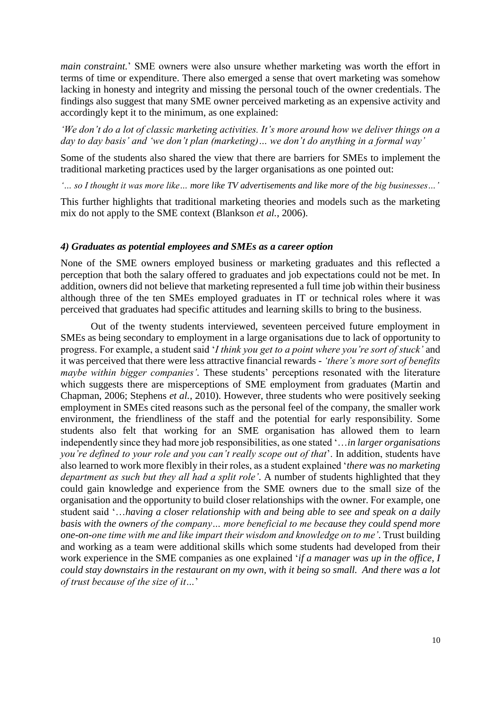*main constraint.*' SME owners were also unsure whether marketing was worth the effort in terms of time or expenditure. There also emerged a sense that overt marketing was somehow lacking in honesty and integrity and missing the personal touch of the owner credentials. The findings also suggest that many SME owner perceived marketing as an expensive activity and accordingly kept it to the minimum, as one explained:

*'We don't do a lot of classic marketing activities. It's more around how we deliver things on a day to day basis' and 'we don't plan (marketing)… we don't do anything in a formal way'*

Some of the students also shared the view that there are barriers for SMEs to implement the traditional marketing practices used by the larger organisations as one pointed out:

*'… so I thought it was more like… more like TV advertisements and like more of the big businesses…'*

This further highlights that traditional marketing theories and models such as the marketing mix do not apply to the SME context [\(Blankson](#page-13-7) *et al.*, 2006).

#### *4) Graduates as potential employees and SMEs as a career option*

None of the SME owners employed business or marketing graduates and this reflected a perception that both the salary offered to graduates and job expectations could not be met. In addition, owners did not believe that marketing represented a full time job within their business although three of the ten SMEs employed graduates in IT or technical roles where it was perceived that graduates had specific attitudes and learning skills to bring to the business.

Out of the twenty students interviewed, seventeen perceived future employment in SMEs as being secondary to employment in a large organisations due to lack of opportunity to progress. For example, a student said '*I think you get to a point where you're sort of stuck'* and it was perceived that there were less attractive financial rewards - *'there's more sort of benefits maybe within bigger companies'.* These students' perceptions resonated with the literature which suggests there are misperceptions of SME employment from graduates (Martin and [Chapman, 2006;](#page-15-8) [Stephens](#page-16-8) *et al.*, 2010). However, three students who were positively seeking employment in SMEs cited reasons such as the personal feel of the company, the smaller work environment, the friendliness of the staff and the potential for early responsibility. Some students also felt that working for an SME organisation has allowed them to learn independently since they had more job responsibilities, as one stated '…*in larger organisations you're defined to your role and you can't really scope out of that*'. In addition, students have also learned to work more flexibly in their roles, as a student explained '*there was no marketing department as such but they all had a split role'*. A number of students highlighted that they could gain knowledge and experience from the SME owners due to the small size of the organisation and the opportunity to build closer relationships with the owner. For example, one student said '…*having a closer relationship with and being able to see and speak on a daily basis with the owners of the company… more beneficial to me because they could spend more one-on-one time with me and like impart their wisdom and knowledge on to me'*. Trust building and working as a team were additional skills which some students had developed from their work experience in the SME companies as one explained '*if a manager was up in the office, I could stay downstairs in the restaurant on my own, with it being so small. And there was a lot of trust because of the size of it…*'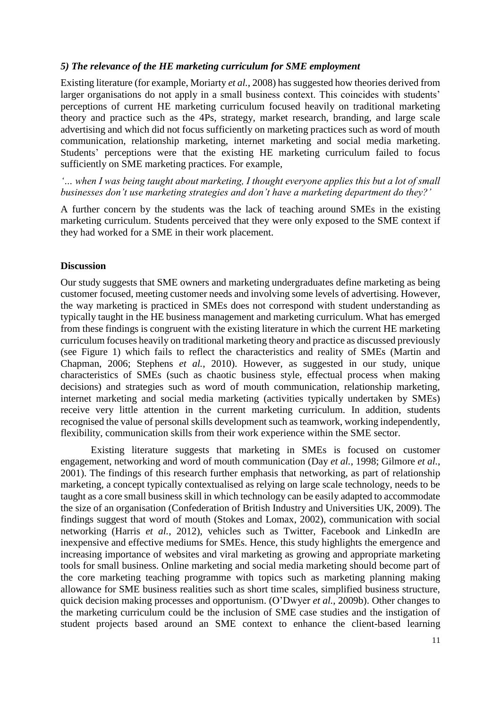### *5) The relevance of the HE marketing curriculum for SME employment*

Existing literature [\(for example, Moriarty](#page-15-7) *et al.*, 2008) has suggested how theories derived from larger organisations do not apply in a small business context. This coincides with students' perceptions of current HE marketing curriculum focused heavily on traditional marketing theory and practice such as the 4Ps, strategy, market research, branding, and large scale advertising and which did not focus sufficiently on marketing practices such as word of mouth communication, relationship marketing, internet marketing and social media marketing. Students' perceptions were that the existing HE marketing curriculum failed to focus sufficiently on SME marketing practices. For example,

*'… when I was being taught about marketing, I thought everyone applies this but a lot of small businesses don't use marketing strategies and don't have a marketing department do they?'*

A further concern by the students was the lack of teaching around SMEs in the existing marketing curriculum. Students perceived that they were only exposed to the SME context if they had worked for a SME in their work placement.

#### **Discussion**

Our study suggests that SME owners and marketing undergraduates define marketing as being customer focused, meeting customer needs and involving some levels of advertising. However, the way marketing is practiced in SMEs does not correspond with student understanding as typically taught in the HE business management and marketing curriculum. What has emerged from these findings is congruent with the existing literature in which the current HE marketing curriculum focuses heavily on traditional marketing theory and practice as discussed previously (see Figure 1) which fails to reflect the characteristics and reality of SMEs [\(Martin and](#page-15-8)  [Chapman, 2006;](#page-15-8) [Stephens](#page-16-8) *et al.*, 2010). However, as suggested in our study, unique characteristics of SMEs (such as chaotic business style, effectual process when making decisions) and strategies such as word of mouth communication, relationship marketing, internet marketing and social media marketing (activities typically undertaken by SMEs) receive very little attention in the current marketing curriculum. In addition, students recognised the value of personal skills development such as teamwork, working independently, flexibility, communication skills from their work experience within the SME sector.

Existing literature suggests that marketing in SMEs is focused on customer engagement, networking and word of mouth communication (Day *et al.*[, 1998;](#page-13-8) [Gilmore](#page-14-8) *et al.*, [2001\)](#page-14-8). The findings of this research further emphasis that networking, as part of relationship marketing, a concept typically contextualised as relying on large scale technology, needs to be taught as a core small business skill in which technology can be easily adapted to accommodate the size of an organisation [\(Confederation of British Industry and Universities UK, 2009\)](#page-13-9). The findings suggest that word of mouth [\(Stokes and Lomax, 2002\)](#page-17-7), communication with social networking (Harris *et al.*[, 2012\)](#page-14-9), vehicles such as Twitter, Facebook and LinkedIn are inexpensive and effective mediums for SMEs. Hence, this study highlights the emergence and increasing importance of websites and viral marketing as growing and appropriate marketing tools for small business. Online marketing and social media marketing should become part of the core marketing teaching programme with topics such as marketing planning making allowance for SME business realities such as short time scales, simplified business structure, quick decision making processes and opportunism. [\(O'Dwyer](#page-16-9) *et al.*, 2009b). Other changes to the marketing curriculum could be the inclusion of SME case studies and the instigation of student projects based around an SME context to enhance the client-based learning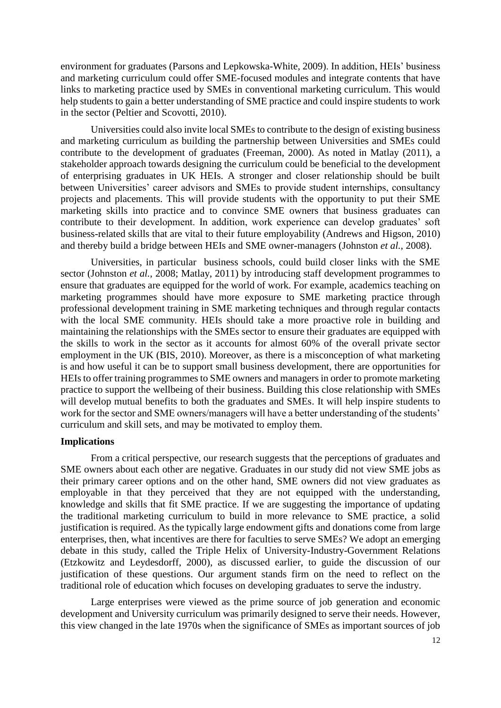environment for graduates [\(Parsons and Lepkowska-White, 2009\)](#page-16-17). In addition, HEIs' business and marketing curriculum could offer SME-focused modules and integrate contents that have links to marketing practice used by SMEs in conventional marketing curriculum. This would help students to gain a better understanding of SME practice and could inspire students to work in the sector [\(Peltier and Scovotti, 2010\)](#page-16-18).

Universities could also invite local SMEs to contribute to the design of existing business and marketing curriculum as building the partnership between Universities and SMEs could contribute to the development of graduates [\(Freeman, 2000\)](#page-14-16). As noted in Matlay [\(2011\)](#page-15-18), a stakeholder approach towards designing the curriculum could be beneficial to the development of enterprising graduates in UK HEIs. A stronger and closer relationship should be built between Universities' career advisors and SMEs to provide student internships, consultancy projects and placements. This will provide students with the opportunity to put their SME marketing skills into practice and to convince SME owners that business graduates can contribute to their development. In addition, work experience can develop graduates' soft business-related skills that are vital to their future employability [\(Andrews and Higson, 2010\)](#page-13-15) and thereby build a bridge between HEIs and SME owner-managers [\(Johnston](#page-15-19) *et al.*, 2008).

Universities, in particular business schools, could build closer links with the SME sector [\(Johnston](#page-15-19) *et al.*, 2008; [Matlay, 2011\)](#page-15-18) by introducing staff development programmes to ensure that graduates are equipped for the world of work. For example, academics teaching on marketing programmes should have more exposure to SME marketing practice through professional development training in SME marketing techniques and through regular contacts with the local SME community. HEIs should take a more proactive role in building and maintaining the relationships with the SMEs sector to ensure their graduates are equipped with the skills to work in the sector as it accounts for almost 60% of the overall private sector employment in the UK [\(BIS, 2010\)](#page-13-2). Moreover, as there is a misconception of what marketing is and how useful it can be to support small business development, there are opportunities for HEIs to offer training programmes to SME owners and managers in order to promote marketing practice to support the wellbeing of their business. Building this close relationship with SMEs will develop mutual benefits to both the graduates and SMEs. It will help inspire students to work for the sector and SME owners/managers will have a better understanding of the students' curriculum and skill sets, and may be motivated to employ them.

#### **Implications**

From a critical perspective, our research suggests that the perceptions of graduates and SME owners about each other are negative. Graduates in our study did not view SME jobs as their primary career options and on the other hand, SME owners did not view graduates as employable in that they perceived that they are not equipped with the understanding, knowledge and skills that fit SME practice. If we are suggesting the importance of updating the traditional marketing curriculum to build in more relevance to SME practice, a solid justification is required. As the typically large endowment gifts and donations come from large enterprises, then, what incentives are there for faculties to serve SMEs? We adopt an emerging debate in this study, called the Triple Helix of University-Industry-Government Relations [\(Etzkowitz and Leydesdorff, 2000\)](#page-14-5), as discussed earlier, to guide the discussion of our justification of these questions. Our argument stands firm on the need to reflect on the traditional role of education which focuses on developing graduates to serve the industry.

Large enterprises were viewed as the prime source of job generation and economic development and University curriculum was primarily designed to serve their needs. However, this view changed in the late 1970s when the significance of SMEs as important sources of job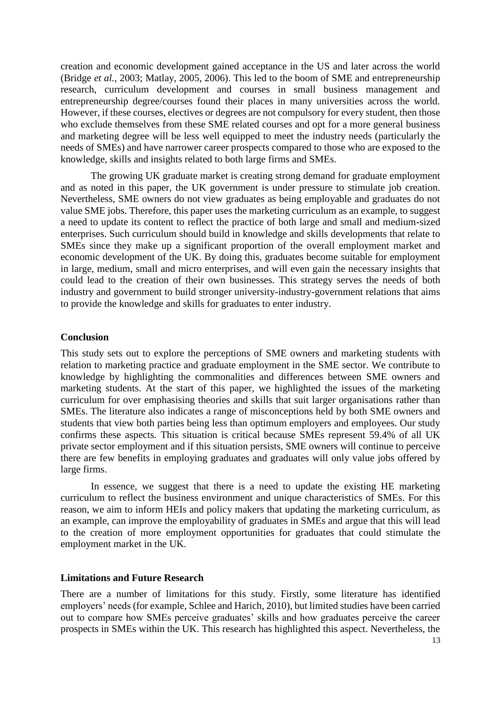creation and economic development gained acceptance in the US and later across the world [\(Bridge](#page-13-16) *et al.*, 2003; [Matlay, 2005,](#page-15-15) [2006\)](#page-15-16). This led to the boom of SME and entrepreneurship research, curriculum development and courses in small business management and entrepreneurship degree/courses found their places in many universities across the world. However, if these courses, electives or degrees are not compulsory for every student, then those who exclude themselves from these SME related courses and opt for a more general business and marketing degree will be less well equipped to meet the industry needs (particularly the needs of SMEs) and have narrower career prospects compared to those who are exposed to the knowledge, skills and insights related to both large firms and SMEs.

The growing UK graduate market is creating strong demand for graduate employment and as noted in this paper, the UK government is under pressure to stimulate job creation. Nevertheless, SME owners do not view graduates as being employable and graduates do not value SME jobs. Therefore, this paper uses the marketing curriculum as an example, to suggest a need to update its content to reflect the practice of both large and small and medium-sized enterprises. Such curriculum should build in knowledge and skills developments that relate to SMEs since they make up a significant proportion of the overall employment market and economic development of the UK. By doing this, graduates become suitable for employment in large, medium, small and micro enterprises, and will even gain the necessary insights that could lead to the creation of their own businesses. This strategy serves the needs of both industry and government to build stronger university-industry-government relations that aims to provide the knowledge and skills for graduates to enter industry.

#### **Conclusion**

This study sets out to explore the perceptions of SME owners and marketing students with relation to marketing practice and graduate employment in the SME sector. We contribute to knowledge by highlighting the commonalities and differences between SME owners and marketing students. At the start of this paper, we highlighted the issues of the marketing curriculum for over emphasising theories and skills that suit larger organisations rather than SMEs. The literature also indicates a range of misconceptions held by both SME owners and students that view both parties being less than optimum employers and employees. Our study confirms these aspects. This situation is critical because SMEs represent 59.4% of all UK private sector employment and if this situation persists, SME owners will continue to perceive there are few benefits in employing graduates and graduates will only value jobs offered by large firms.

In essence, we suggest that there is a need to update the existing HE marketing curriculum to reflect the business environment and unique characteristics of SMEs. For this reason, we aim to inform HEIs and policy makers that updating the marketing curriculum, as an example, can improve the employability of graduates in SMEs and argue that this will lead to the creation of more employment opportunities for graduates that could stimulate the employment market in the UK.

#### **Limitations and Future Research**

There are a number of limitations for this study. Firstly, some literature has identified employers' needs [\(for example, Schlee and Harich, 2010\)](#page-16-1), but limited studies have been carried out to compare how SMEs perceive graduates' skills and how graduates perceive the career prospects in SMEs within the UK. This research has highlighted this aspect. Nevertheless, the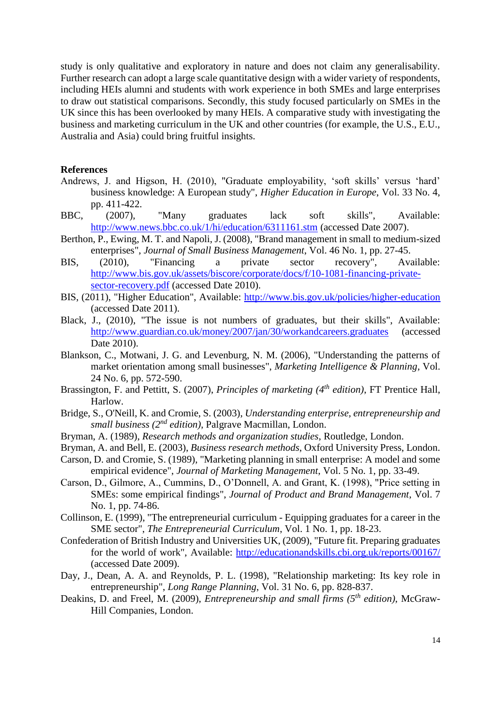study is only qualitative and exploratory in nature and does not claim any generalisability. Further research can adopt a large scale quantitative design with a wider variety of respondents, including HEIs alumni and students with work experience in both SMEs and large enterprises to draw out statistical comparisons. Secondly, this study focused particularly on SMEs in the UK since this has been overlooked by many HEIs. A comparative study with investigating the business and marketing curriculum in the UK and other countries (for example, the U.S., E.U., Australia and Asia) could bring fruitful insights.

#### **References**

- <span id="page-13-15"></span>Andrews, J. and Higson, H. (2010), "Graduate employability, 'soft skills' versus 'hard' business knowledge: A European study", *Higher Education in Europe*, Vol. 33 No. 4, pp. 411-422.
- <span id="page-13-10"></span>BBC, (2007), "Many graduates lack soft skills", Available: <http://www.news.bbc.co.uk/1/hi/education/6311161.stm> (accessed Date 2007).
- <span id="page-13-4"></span>Berthon, P., Ewing, M. T. and Napoli, J. (2008), "Brand management in small to medium-sized enterprises", *Journal of Small Business Management*, Vol. 46 No. 1, pp. 27-45.
- <span id="page-13-2"></span>BIS, (2010), "Financing a private sector recovery", Available: [http://www.bis.gov.uk/assets/biscore/corporate/docs/f/10-1081-financing-private](http://www.bis.gov.uk/assets/biscore/corporate/docs/f/10-1081-financing-private-sector-recovery.pdf)[sector-recovery.pdf](http://www.bis.gov.uk/assets/biscore/corporate/docs/f/10-1081-financing-private-sector-recovery.pdf) (accessed Date 2010).
- <span id="page-13-12"></span>BIS, (2011), "Higher Education", Available:<http://www.bis.gov.uk/policies/higher-education> (accessed Date 2011).
- <span id="page-13-11"></span>Black, J., (2010), "The issue is not numbers of graduates, but their skills", Available: <http://www.guardian.co.uk/money/2007/jan/30/workandcareers.graduates> (accessed Date 2010).
- <span id="page-13-7"></span>Blankson, C., Motwani, J. G. and Levenburg, N. M. (2006), "Understanding the patterns of market orientation among small businesses", *Marketing Intelligence & Planning*, Vol. 24 No. 6, pp. 572-590.
- <span id="page-13-3"></span>Brassington, F. and Pettitt, S. (2007), *Principles of marketing (4th edition)*, FT Prentice Hall, Harlow.
- <span id="page-13-16"></span>Bridge, S., O'Neill, K. and Cromie, S. (2003), *Understanding enterprise, entrepreneurship and small business (2nd edition)*, Palgrave Macmillan, London.
- <span id="page-13-13"></span>Bryman, A. (1989), *Research methods and organization studies*, Routledge, London.
- <span id="page-13-14"></span>Bryman, A. and Bell, E. (2003), *Business research methods*, Oxford University Press, London.
- <span id="page-13-5"></span>Carson, D. and Cromie, S. (1989), "Marketing planning in small enterprise: A model and some empirical evidence", *Journal of Marketing Management*, Vol. 5 No. 1, pp. 33-49.
- <span id="page-13-6"></span>Carson, D., Gilmore, A., Cummins, D., O'Donnell, A. and Grant, K. (1998), "Price setting in SMEs: some empirical findings", *Journal of Product and Brand Management*, Vol. 7 No. 1, pp. 74-86.
- <span id="page-13-0"></span>Collinson, E. (1999), "The entrepreneurial curriculum - Equipping graduates for a career in the SME sector", *The Entrepreneurial Curriculum*, Vol. 1 No. 1, pp. 18-23.
- <span id="page-13-9"></span>Confederation of British Industry and Universities UK, (2009), "Future fit. Preparing graduates for the world of work", Available:<http://educationandskills.cbi.org.uk/reports/00167/> (accessed Date 2009).
- <span id="page-13-8"></span>Day, J., Dean, A. A. and Reynolds, P. L. (1998), "Relationship marketing: Its key role in entrepreneurship", *Long Range Planning*, Vol. 31 No. 6, pp. 828-837.
- <span id="page-13-1"></span>Deakins, D. and Freel, M. (2009), *Entrepreneurship and small firms (5th edition)*, McGraw-Hill Companies, London.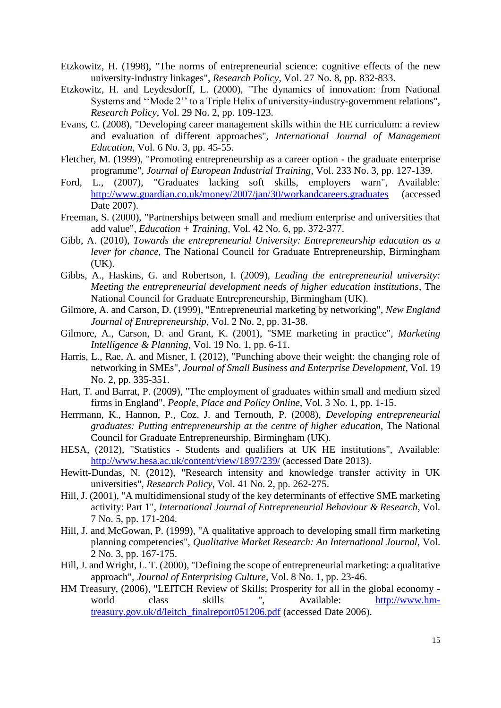- <span id="page-14-4"></span>Etzkowitz, H. (1998), "The norms of entrepreneurial science: cognitive effects of the new university-industry linkages", *Research Policy*, Vol. 27 No. 8, pp. 832-833.
- <span id="page-14-5"></span>Etzkowitz, H. and Leydesdorff, L. (2000), "The dynamics of innovation: from National Systems and ''Mode 2'' to a Triple Helix of university-industry-government relations", *Research Policy*, Vol. 29 No. 2, pp. 109-123.
- <span id="page-14-14"></span>Evans, C. (2008), "Developing career management skills within the HE curriculum: a review and evaluation of different approaches", *International Journal of Management Education*, Vol. 6 No. 3, pp. 45-55.
- <span id="page-14-18"></span>Fletcher, M. (1999), "Promoting entrepreneurship as a career option - the graduate enterprise programme", *Journal of European Industrial Training*, Vol. 233 No. 3, pp. 127-139.
- <span id="page-14-15"></span>Ford, L., (2007), "Graduates lacking soft skills, employers warn", Available: <http://www.guardian.co.uk/money/2007/jan/30/workandcareers.graduates> (accessed Date 2007).
- <span id="page-14-16"></span>Freeman, S. (2000), "Partnerships between small and medium enterprise and universities that add value", *Education + Training*, Vol. 42 No. 6, pp. 372-377.
- <span id="page-14-13"></span>Gibb, A. (2010), *Towards the entrepreneurial University: Entrepreneurship education as a lever for chance*, The National Council for Graduate Entrepreneurship, Birmingham (UK).
- <span id="page-14-12"></span>Gibbs, A., Haskins, G. and Robertson, I. (2009), *Leading the entrepreneurial university: Meeting the entrepreneurial development needs of higher education institutions*, The National Council for Graduate Entrepreneurship, Birmingham (UK).
- <span id="page-14-7"></span>Gilmore, A. and Carson, D. (1999), "Entrepreneurial marketing by networking", *New England Journal of Entrepreneurship*, Vol. 2 No. 2, pp. 31-38.
- <span id="page-14-8"></span>Gilmore, A., Carson, D. and Grant, K. (2001), "SME marketing in practice", *Marketing Intelligence & Planning*, Vol. 19 No. 1, pp. 6-11.
- <span id="page-14-9"></span>Harris, L., Rae, A. and Misner, I. (2012), "Punching above their weight: the changing role of networking in SMEs", *Journal of Small Business and Enterprise Development*, Vol. 19 No. 2, pp. 335-351.
- <span id="page-14-1"></span>Hart, T. and Barrat, P. (2009), "The employment of graduates within small and medium sized firms in England", *People, Place and Policy Online*, Vol. 3 No. 1, pp. 1-15.
- <span id="page-14-11"></span>Herrmann, K., Hannon, P., Coz, J. and Ternouth, P. (2008), *Developing entrepreneurial graduates: Putting entrepreneurship at the centre of higher education*, The National Council for Graduate Entrepreneurship, Birmingham (UK).
- <span id="page-14-0"></span>HESA, (2012), "Statistics - Students and qualifiers at UK HE institutions", Available: <http://www.hesa.ac.uk/content/view/1897/239/> (accessed Date 2013).
- <span id="page-14-6"></span>Hewitt-Dundas, N. (2012), "Research intensity and knowledge transfer activity in UK universities", *Research Policy*, Vol. 41 No. 2, pp. 262-275.
- <span id="page-14-3"></span>Hill, J. (2001), "A multidimensional study of the key determinants of effective SME marketing activity: Part 1", *International Journal of Entrepreneurial Behaviour & Research*, Vol. 7 No. 5, pp. 171-204.
- <span id="page-14-2"></span>Hill, J. and McGowan, P. (1999), "A qualitative approach to developing small firm marketing planning competencies", *Qualitative Market Research: An International Journal*, Vol. 2 No. 3, pp. 167-175.
- <span id="page-14-17"></span>Hill, J. and Wright, L. T. (2000), "Defining the scope of entrepreneurial marketing: a qualitative approach", *Journal of Enterprising Culture*, Vol. 8 No. 1, pp. 23-46.
- <span id="page-14-10"></span>HM Treasury, (2006), "LEITCH Review of Skills; Prosperity for all in the global economy world class skills ", Available: [http://www.hm](http://www.hm-treasury.gov.uk/d/leitch_finalreport051206.pdf)[treasury.gov.uk/d/leitch\\_finalreport051206.pdf](http://www.hm-treasury.gov.uk/d/leitch_finalreport051206.pdf) (accessed Date 2006).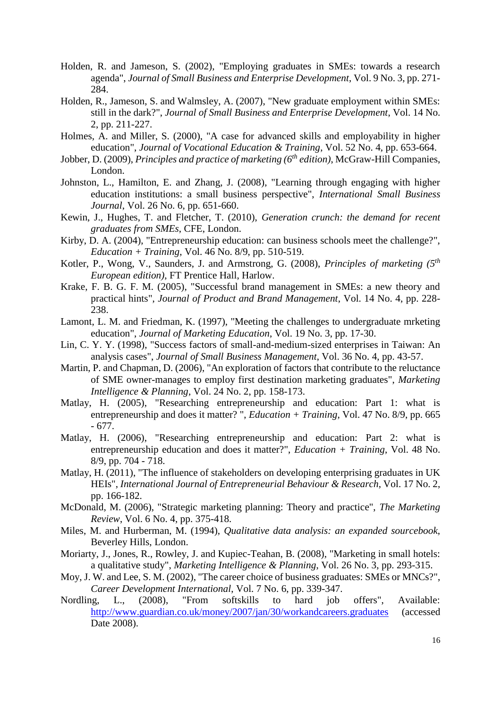- <span id="page-15-0"></span>Holden, R. and Jameson, S. (2002), "Employing graduates in SMEs: towards a research agenda", *Journal of Small Business and Enterprise Development*, Vol. 9 No. 3, pp. 271- 284.
- <span id="page-15-1"></span>Holden, R., Jameson, S. and Walmsley, A. (2007), "New graduate employment within SMEs: still in the dark?", *Journal of Small Business and Enterprise Development*, Vol. 14 No. 2, pp. 211-227.
- <span id="page-15-9"></span>Holmes, A. and Miller, S. (2000), "A case for advanced skills and employability in higher education", *Journal of Vocational Education & Training*, Vol. 52 No. 4, pp. 653-664.
- <span id="page-15-5"></span>Jobber, D. (2009), *Principles and practice of marketing (6th edition)*, McGraw-Hill Companies, London.
- <span id="page-15-19"></span>Johnston, L., Hamilton, E. and Zhang, J. (2008), "Learning through engaging with higher education institutions: a small business perspective", *International Small Business Journal*, Vol. 26 No. 6, pp. 651-660.
- <span id="page-15-2"></span>Kewin, J., Hughes, T. and Fletcher, T. (2010), *Generation crunch: the demand for recent graduates from SMEs*, CFE, London.
- <span id="page-15-14"></span>Kirby, D. A. (2004), "Entrepreneurship education: can business schools meet the challenge?", *Education + Training*, Vol. 46 No. 8/9, pp. 510-519.
- <span id="page-15-4"></span>Kotler, P., Wong, V., Saunders, J. and Armstrong, G. (2008), *Principles of marketing (5th European edition)*, FT Prentice Hall, Harlow.
- <span id="page-15-10"></span>Krake, F. B. G. F. M. (2005), "Successful brand management in SMEs: a new theory and practical hints", *Journal of Product and Brand Management*, Vol. 14 No. 4, pp. 228- 238.
- <span id="page-15-11"></span>Lamont, L. M. and Friedman, K. (1997), "Meeting the challenges to undergraduate mrketing education", *Journal of Marketing Education*, Vol. 19 No. 3, pp. 17-30.
- <span id="page-15-3"></span>Lin, C. Y. Y. (1998), "Success factors of small-and-medium-sized enterprises in Taiwan: An analysis cases", *Journal of Small Business Management*, Vol. 36 No. 4, pp. 43-57.
- <span id="page-15-8"></span>Martin, P. and Chapman, D. (2006), "An exploration of factors that contribute to the reluctance of SME owner-manages to employ first destination marketing graduates", *Marketing Intelligence & Planning*, Vol. 24 No. 2, pp. 158-173.
- <span id="page-15-15"></span>Matlay, H. (2005), "Researching entrepreneurship and education: Part 1: what is entrepreneurship and does it matter? ", *Education + Training*, Vol. 47 No. 8/9, pp. 665 - 677.
- <span id="page-15-16"></span>Matlay, H. (2006), "Researching entrepreneurship and education: Part 2: what is entrepreneurship education and does it matter?", *Education + Training*, Vol. 48 No. 8/9, pp. 704 - 718.
- <span id="page-15-18"></span>Matlay, H. (2011), "The influence of stakeholders on developing enterprising graduates in UK HEIs", *International Journal of Entrepreneurial Behaviour & Research*, Vol. 17 No. 2, pp. 166-182.
- <span id="page-15-6"></span>McDonald, M. (2006), "Strategic marketing planning: Theory and practice", *The Marketing Review*, Vol. 6 No. 4, pp. 375-418.
- <span id="page-15-17"></span>Miles, M. and Hurberman, M. (1994), *Qualitative data analysis: an expanded sourcebook*, Beverley Hills, London.
- <span id="page-15-7"></span>Moriarty, J., Jones, R., Rowley, J. and Kupiec-Teahan, B. (2008), "Marketing in small hotels: a qualitative study", *Marketing Intelligence & Planning*, Vol. 26 No. 3, pp. 293-315.
- <span id="page-15-13"></span>Moy, J. W. and Lee, S. M. (2002), "The career choice of business graduates: SMEs or MNCs?", *Career Development International*, Vol. 7 No. 6, pp. 339-347.
- <span id="page-15-12"></span>Nordling, L., (2008), "From softskills to hard job offers", Available: <http://www.guardian.co.uk/money/2007/jan/30/workandcareers.graduates> (accessed Date 2008).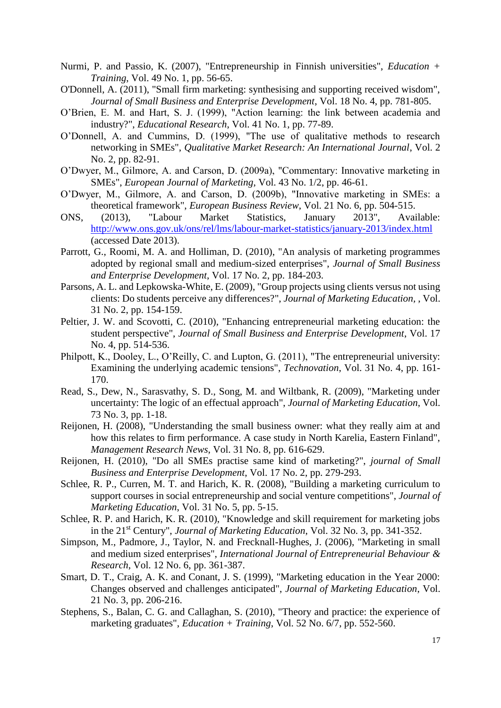- <span id="page-16-14"></span>Nurmi, P. and Passio, K. (2007), "Entrepreneurship in Finnish universities", *Education + Training*, Vol. 49 No. 1, pp. 56-65.
- <span id="page-16-5"></span>O'Donnell, A. (2011), "Small firm marketing: synthesising and supporting received wisdom", *Journal of Small Business and Enterprise Development*, Vol. 18 No. 4, pp. 781-805.
- <span id="page-16-15"></span>O'Brien, E. M. and Hart, S. J. (1999), "Action learning: the link between academia and industry?", *Educational Research*, Vol. 41 No. 1, pp. 77-89.
- <span id="page-16-16"></span>O'Donnell, A. and Cummins, D. (1999), "The use of qualitative methods to research networking in SMEs", *Qualitative Market Research: An International Journal*, Vol. 2 No. 2, pp. 82-91.
- <span id="page-16-3"></span>O'Dwyer, M., Gilmore, A. and Carson, D. (2009a), "Commentary: Innovative marketing in SMEs", *European Journal of Marketing*, Vol. 43 No. 1/2, pp. 46-61.
- <span id="page-16-9"></span>O'Dwyer, M., Gilmore, A. and Carson, D. (2009b), "Innovative marketing in SMEs: a theoretical framework", *European Business Review*, Vol. 21 No. 6, pp. 504-515.
- <span id="page-16-0"></span>ONS, (2013), "Labour Market Statistics, January 2013", Available: <http://www.ons.gov.uk/ons/rel/lms/labour-market-statistics/january-2013/index.html> (accessed Date 2013).
- <span id="page-16-6"></span>Parrott, G., Roomi, M. A. and Holliman, D. (2010), "An analysis of marketing programmes adopted by regional small and medium-sized enterprises", *Journal of Small Business and Enterprise Development*, Vol. 17 No. 2, pp. 184-203.
- <span id="page-16-17"></span>Parsons, A. L. and Lepkowska-White, E. (2009), "Group projects using clients versus not using clients: Do students perceive any differences?", *Journal of Marketing Education,* , Vol. 31 No. 2, pp. 154-159.
- <span id="page-16-18"></span>Peltier, J. W. and Scovotti, C. (2010), "Enhancing entrepreneurial marketing education: the student perspective", *Journal of Small Business and Enterprise Development*, Vol. 17 No. 4, pp. 514-536.
- <span id="page-16-2"></span>Philpott, K., Dooley, L., O'Reilly, C. and Lupton, G. (2011), "The entrepreneurial university: Examining the underlying academic tensions", *Technovation*, Vol. 31 No. 4, pp. 161- 170.
- <span id="page-16-12"></span>Read, S., Dew, N., Sarasvathy, S. D., Song, M. and Wiltbank, R. (2009), "Marketing under uncertainty: The logic of an effectual approach", *Journal of Marketing Education*, Vol. 73 No. 3, pp. 1-18.
- <span id="page-16-10"></span>Reijonen, H. (2008), "Understanding the small business owner: what they really aim at and how this relates to firm performance. A case study in North Karelia, Eastern Finland", *Management Research News*, Vol. 31 No. 8, pp. 616-629.
- <span id="page-16-4"></span>Reijonen, H. (2010), "Do all SMEs practise same kind of marketing?", *journal of Small Business and Enterprise Development*, Vol. 17 No. 2, pp. 279-293.
- <span id="page-16-13"></span>Schlee, R. P., Curren, M. T. and Harich, K. R. (2008), "Building a marketing curriculum to support courses in social entrepreneurship and social venture competitions", *Journal of Marketing Education*, Vol. 31 No. 5, pp. 5-15.
- <span id="page-16-1"></span>Schlee, R. P. and Harich, K. R. (2010), "Knowledge and skill requirement for marketing jobs in the 21st Century", *Journal of Marketing Education*, Vol. 32 No. 3, pp. 341-352.
- <span id="page-16-11"></span>Simpson, M., Padmore, J., Taylor, N. and Frecknall-Hughes, J. (2006), "Marketing in small and medium sized enterprises", *International Journal of Entrepreneurial Behaviour & Research*, Vol. 12 No. 6, pp. 361-387.
- <span id="page-16-7"></span>Smart, D. T., Craig, A. K. and Conant, J. S. (1999), "Marketing education in the Year 2000: Changes observed and challenges anticipated", *Journal of Marketing Education*, Vol. 21 No. 3, pp. 206-216.
- <span id="page-16-8"></span>Stephens, S., Balan, C. G. and Callaghan, S. (2010), "Theory and practice: the experience of marketing graduates", *Education + Training*, Vol. 52 No. 6/7, pp. 552-560.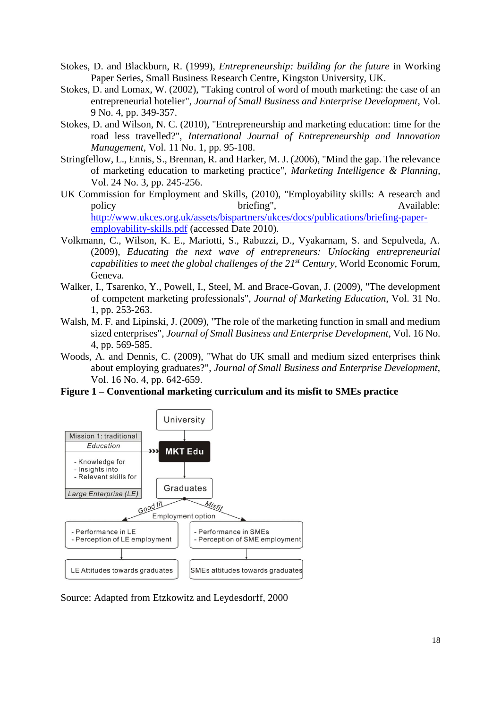- <span id="page-17-4"></span>Stokes, D. and Blackburn, R. (1999), *Entrepreneurship: building for the future* in Working Paper Series, Small Business Research Centre, Kingston University, UK.
- <span id="page-17-7"></span>Stokes, D. and Lomax, W. (2002), "Taking control of word of mouth marketing: the case of an entrepreneurial hotelier", *Journal of Small Business and Enterprise Development*, Vol. 9 No. 4, pp. 349-357.
- <span id="page-17-3"></span>Stokes, D. and Wilson, N. C. (2010), "Entrepreneurship and marketing education: time for the road less travelled?", *International Journal of Entrepreneurship and Innovation Management*, Vol. 11 No. 1, pp. 95-108.
- <span id="page-17-2"></span>Stringfellow, L., Ennis, S., Brennan, R. and Harker, M. J. (2006), "Mind the gap. The relevance of marketing education to marketing practice", *Marketing Intelligence & Planning*, Vol. 24 No. 3, pp. 245-256.
- <span id="page-17-8"></span>UK Commission for Employment and Skills, (2010), "Employability skills: A research and policy briefing", Available: [http://www.ukces.org.uk/assets/bispartners/ukces/docs/publications/briefing-paper](http://www.ukces.org.uk/assets/bispartners/ukces/docs/publications/briefing-paper-employability-skills.pdf)[employability-skills.pdf](http://www.ukces.org.uk/assets/bispartners/ukces/docs/publications/briefing-paper-employability-skills.pdf) (accessed Date 2010).
- <span id="page-17-6"></span>Volkmann, C., Wilson, K. E., Mariotti, S., Rabuzzi, D., Vyakarnam, S. and Sepulveda, A. (2009), *Educating the next wave of entrepreneurs: Unlocking entrepreneurial capabilities to meet the global challenges of the 21st Century*, World Economic Forum, Geneva.
- <span id="page-17-5"></span>Walker, I., Tsarenko, Y., Powell, I., Steel, M. and Brace-Govan, J. (2009), "The development of competent marketing professionals", *Journal of Marketing Education*, Vol. 31 No. 1, pp. 253-263.
- <span id="page-17-1"></span>Walsh, M. F. and Lipinski, J. (2009), "The role of the marketing function in small and medium sized enterprises", *Journal of Small Business and Enterprise Development*, Vol. 16 No. 4, pp. 569-585.
- <span id="page-17-0"></span>Woods, A. and Dennis, C. (2009), "What do UK small and medium sized enterprises think about employing graduates?", *Journal of Small Business and Enterprise Development*, Vol. 16 No. 4, pp. 642-659.
- **Figure 1 – Conventional marketing curriculum and its misfit to SMEs practice**



Source: Adapted from Etzkowitz and Leydesdorff, 2000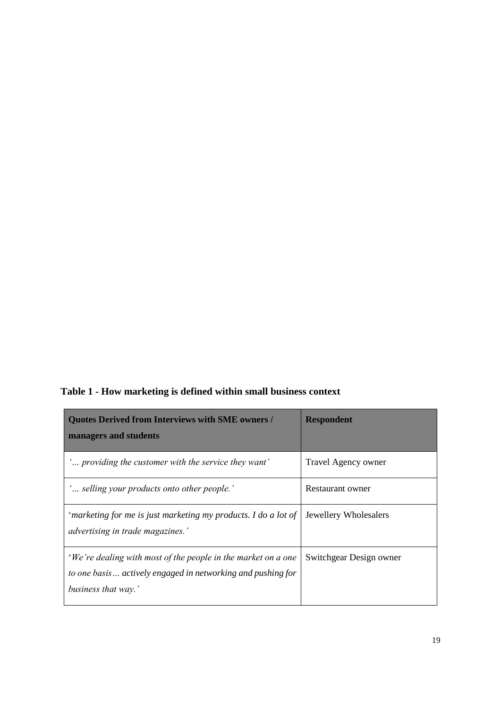**Table 1 - How marketing is defined within small business context**

| <b>Quotes Derived from Interviews with SME owners /</b><br>managers and students                                                                    | <b>Respondent</b>          |
|-----------------------------------------------------------------------------------------------------------------------------------------------------|----------------------------|
| ' providing the customer with the service they want'                                                                                                | <b>Travel Agency owner</b> |
| ' selling your products onto other people.'                                                                                                         | Restaurant owner           |
| 'marketing for me is just marketing my products. I do a lot of<br>advertising in trade magazines.'                                                  | Jewellery Wholesalers      |
| 'We're dealing with most of the people in the market on a one<br>to one basis actively engaged in networking and pushing for<br>business that way.' | Switchgear Design owner    |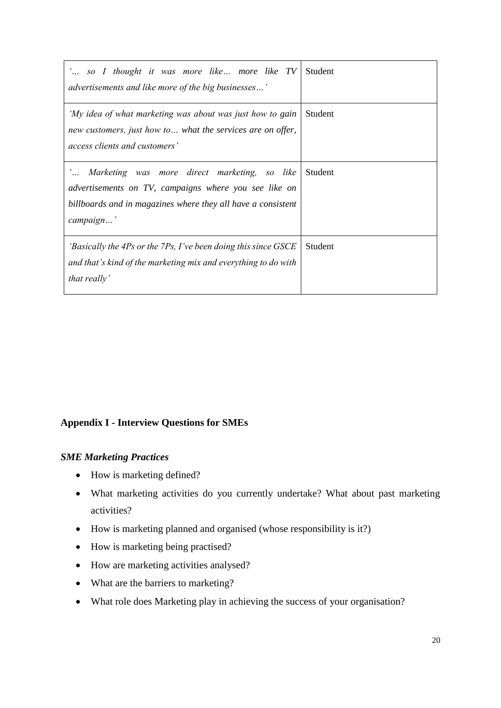| " so I thought it was more like more like TV<br>advertisements and like more of the big businesses'                                                                                   | Student |
|---------------------------------------------------------------------------------------------------------------------------------------------------------------------------------------|---------|
| 'My idea of what marketing was about was just how to gain<br>new customers, just how to what the services are on offer,<br>access clients and customers'                              | Student |
| Marketing was more direct marketing,<br>so like<br>advertisements on TV, campaigns where you see like on<br>billboards and in magazines where they all have a consistent<br>campaign' | Student |
| 'Basically the 4Ps or the 7Ps, I've been doing this since $GSCE$<br>and that's kind of the marketing mix and everything to do with<br>that really'                                    | Student |

# **Appendix I - Interview Questions for SMEs**

## *SME Marketing Practices*

- How is marketing defined?
- What marketing activities do you currently undertake? What about past marketing activities?
- How is marketing planned and organised (whose responsibility is it?)
- How is marketing being practised?
- How are marketing activities analysed?
- What are the barriers to marketing?
- What role does Marketing play in achieving the success of your organisation?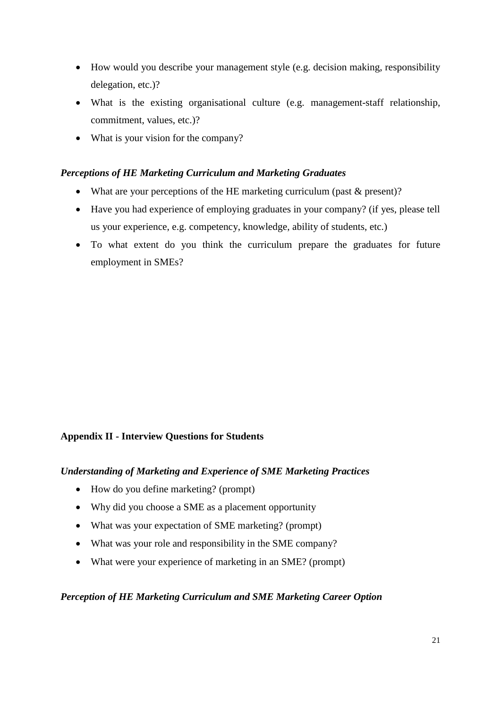- How would you describe your management style (e.g. decision making, responsibility delegation, etc.)?
- What is the existing organisational culture (e.g. management-staff relationship, commitment, values, etc.)?
- What is your vision for the company?

## *Perceptions of HE Marketing Curriculum and Marketing Graduates*

- What are your perceptions of the HE marketing curriculum (past & present)?
- Have you had experience of employing graduates in your company? (if yes, please tell us your experience, e.g. competency, knowledge, ability of students, etc.)
- To what extent do you think the curriculum prepare the graduates for future employment in SMEs?

## **Appendix II - Interview Questions for Students**

## *Understanding of Marketing and Experience of SME Marketing Practices*

- How do you define marketing? (prompt)
- Why did you choose a SME as a placement opportunity
- What was your expectation of SME marketing? (prompt)
- What was your role and responsibility in the SME company?
- What were your experience of marketing in an SME? (prompt)

## *Perception of HE Marketing Curriculum and SME Marketing Career Option*